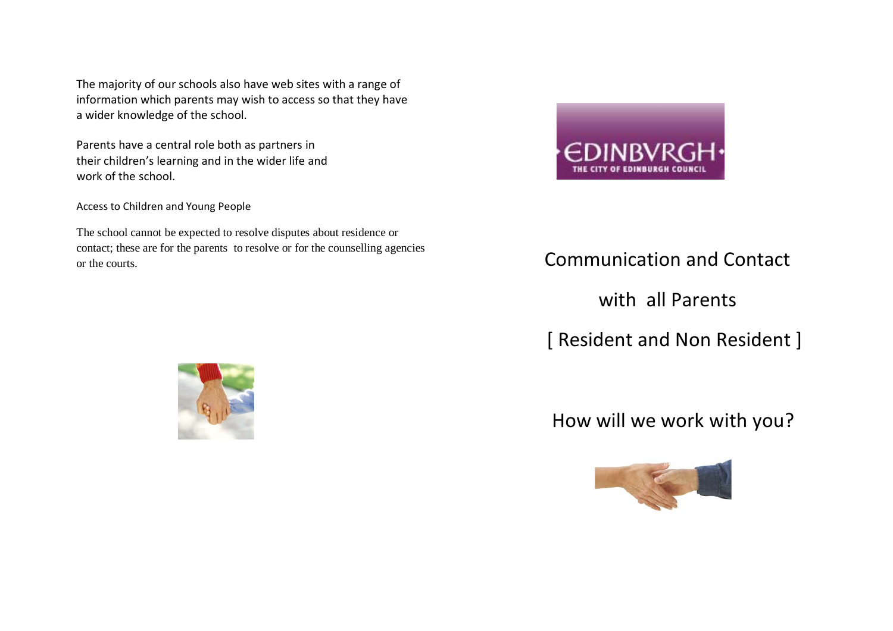The majority of our schools also have web sites with a range of information which parents may wish to access so that they have a wider knowledge of the school.

Parents have a central role both as partners in their children's learning and in the wider life and work of the school.

Access to Children and Young People

The school cannot be expected to resolve disputes about residence or contact; these are for the parents to resolve or for the counselling agencies or the courts.



## Communication and Contact

with all Parents

[ Resident and Non Resident ]

How will we work with you?